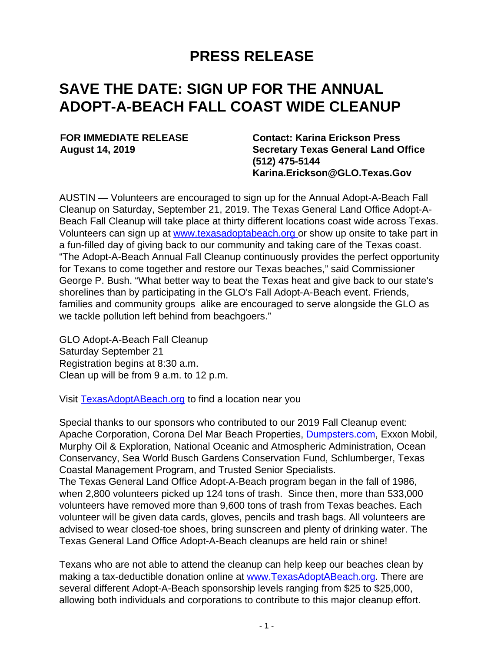## **PRESS RELEASE**

## **SAVE THE DATE: SIGN UP FOR THE ANNUAL ADOPT-A-BEACH FALL COAST WIDE CLEANUP**

**FOR IMMEDIATE RELEASE August 14, 2019**

**Contact: Karina Erickson Press Secretary Texas General Land Office (512) 475-5144 Karina.Erickson@GLO.Texas.Gov**

AUSTIN — Volunteers are encouraged to sign up for the Annual Adopt-A-Beach Fall Cleanup on Saturday, September 21, 2019. The Texas General Land Office Adopt-A-Beach Fall Cleanup will take place at thirty different locations coast wide across Texas. Volunteers can sign up at [www.texasadoptabeach.org](https://gcc01.safelinks.protection.outlook.com/?url=https%3A%2F%2Ftexas.us19.list-manage.com%2Ftrack%2Fclick%3Fu%3Db8e8f86a8e2761e646ed9c772%26id%3D5b3bf7e00e%26e%3D607e5bf436&data=02%7C01%7CMark.Choo%40GLO.TEXAS.GOV%7Cd7ba8631035d4086b9f308d720c37618%7Cd81139cff1a542e9a0c84514e4002e96%7C0%7C0%7C637013896249323884&sdata=vNOy97kYO9OIUoJO72nY3J%2BhibRW9lDrbKhq374Gy48%3D&reserved=0) or show up onsite to take part in a fun-filled day of giving back to our community and taking care of the Texas coast. "The Adopt-A-Beach Annual Fall Cleanup continuously provides the perfect opportunity for Texans to come together and restore our Texas beaches," said Commissioner George P. Bush. "What better way to beat the Texas heat and give back to our state's shorelines than by participating in the GLO's Fall Adopt-A-Beach event. Friends, families and community groups alike are encouraged to serve alongside the GLO as we tackle pollution left behind from beachgoers."

GLO Adopt-A-Beach Fall Cleanup Saturday September 21 Registration begins at 8:30 a.m. Clean up will be from 9 a.m. to 12 p.m.

Visit [TexasAdoptABeach.org](https://gcc01.safelinks.protection.outlook.com/?url=https%3A%2F%2Ftexas.us19.list-manage.com%2Ftrack%2Fclick%3Fu%3Db8e8f86a8e2761e646ed9c772%26id%3Db98d78d148%26e%3D607e5bf436&data=02%7C01%7CMark.Choo%40GLO.TEXAS.GOV%7Cd7ba8631035d4086b9f308d720c37618%7Cd81139cff1a542e9a0c84514e4002e96%7C0%7C0%7C637013896249333878&sdata=k42VHVNYKk%2BdT4yrtBSe0uF2HJ5O5c0KAq8ivy%2FsfWM%3D&reserved=0) to find a location near you

Special thanks to our sponsors who contributed to our 2019 Fall Cleanup event: Apache Corporation, Corona Del Mar Beach Properties, [Dumpsters.com](https://gcc01.safelinks.protection.outlook.com/?url=http%3A%2F%2FDumpters.com&data=02%7C01%7CMark.Choo%40GLO.TEXAS.GOV%7Cd7ba8631035d4086b9f308d720c37618%7Cd81139cff1a542e9a0c84514e4002e96%7C0%7C0%7C637013896249343870&sdata=KzLKnwVetJkdgrAwRYsJCj%2FaQaHVpNECPNqQ%2FrmHsxQ%3D&reserved=0), Exxon Mobil, Murphy Oil & Exploration, National Oceanic and Atmospheric Administration, Ocean Conservancy, Sea World Busch Gardens Conservation Fund, Schlumberger, Texas Coastal Management Program, and Trusted Senior Specialists.

The Texas General Land Office Adopt-A-Beach program began in the fall of 1986, when 2,800 volunteers picked up 124 tons of trash. Since then, more than 533,000 volunteers have removed more than 9,600 tons of trash from Texas beaches. Each volunteer will be given data cards, gloves, pencils and trash bags. All volunteers are advised to wear closed-toe shoes, bring sunscreen and plenty of drinking water. The Texas General Land Office Adopt-A-Beach cleanups are held rain or shine!

Texans who are not able to attend the cleanup can help keep our beaches clean by making a tax-deductible donation online at [www.TexasAdoptABeach.org](https://gcc01.safelinks.protection.outlook.com/?url=https%3A%2F%2Ftexas.us19.list-manage.com%2Ftrack%2Fclick%3Fu%3Db8e8f86a8e2761e646ed9c772%26id%3Dc41f8d33b0%26e%3D607e5bf436&data=02%7C01%7CMark.Choo%40GLO.TEXAS.GOV%7Cd7ba8631035d4086b9f308d720c37618%7Cd81139cff1a542e9a0c84514e4002e96%7C0%7C0%7C637013896249343870&sdata=SH5NtSMJgKaeJceiKb3k3dHtzLKoZNDB7hdZpMJJnBM%3D&reserved=0). There are several different Adopt-A-Beach sponsorship levels ranging from \$25 to \$25,000, allowing both individuals and corporations to contribute to this major cleanup effort.